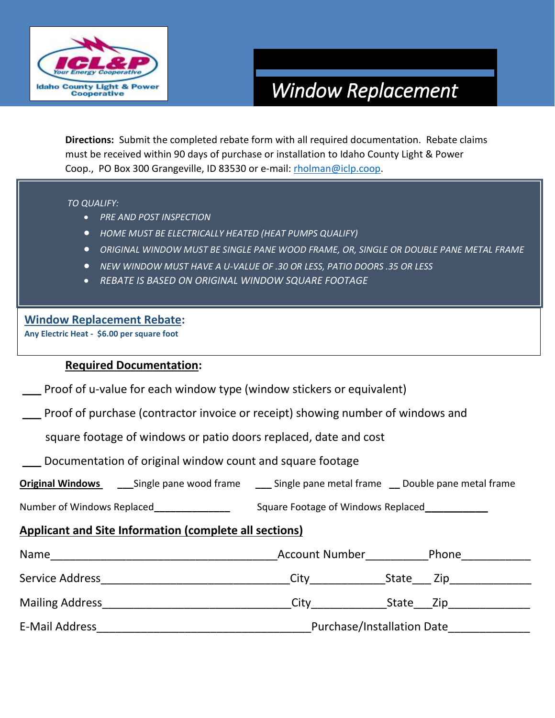

# *Window Replacement*

**Directions:** Submit the completed rebate form with all required documentation. Rebate claims must be received within 90 days of purchase or installation to Idaho County Light & Power Coop., PO Box 300 Grangeville, ID 83530 or e-mail: [rholman@iclp.coop.](mailto:rholman@iclp.coop)

#### *TO QUALIFY:*

- *PRE AND POST INSPECTION*
- *HOME MUST BE ELECTRICALLY HEATED (HEAT PUMPS QUALIFY)*
- *ORIGINAL WINDOW MUST BE SINGLE PANE WOOD FRAME, OR, SINGLE OR DOUBLE PANE METAL FRAME*
- *NEW WINDOW MUST HAVE A U-VALUE OF .30 OR LESS, PATIO DOORS .35 OR LESS*
- *REBATE IS BASED ON ORIGINAL WINDOW SQUARE FOOTAGE*

#### **Window Replacement Rebate:**

**Any Electric Heat - \$6.00 per square foot**

### **Required Documentation:**

**\_\_\_** Proof of u-value for each window type (window stickers or equivalent)

**\_\_\_** Proof of purchase (contractor invoice or receipt) showing number of windows and

square footage of windows or patio doors replaced, date and cost

**\_\_\_** Documentation of original window count and square footage

| <b>Original Windows</b> | Single pane wood frame | Single pane metal frame | Double pane metal frame |
|-------------------------|------------------------|-------------------------|-------------------------|
|-------------------------|------------------------|-------------------------|-------------------------|

Number of Windows Replaced **Number of Windows Replaced** 

## **Applicant and Site Information (complete all sections)**

| Name                   | <b>Account Number</b>             | Phone        |  |
|------------------------|-----------------------------------|--------------|--|
| Service Address        | City                              | State<br>Zip |  |
| <b>Mailing Address</b> | City                              | State<br>Zip |  |
| E-Mail Address         | <b>Purchase/Installation Date</b> |              |  |